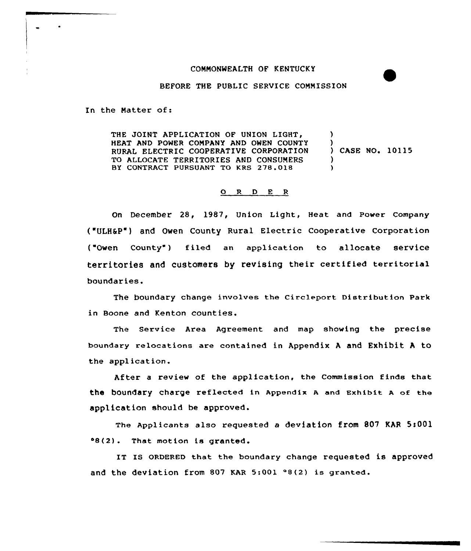## COMMONWEALTH QF KENTUCKY

BEFORE THE PUBLIC SERVICE COMMISSION

In the Natter of:

 $\bullet$ 

THE JOINT APPLICATION OF UNION LIGHT, HEAT AND POWER COMPANY AND OWEN COUNTY RURAL ELECTRIC COOPERATIVE CORPORATION TO ALLOCATE TERRITORIES AND CONSUMERS BY CONTRACT PURSUANT TO KRS 278.018  $\lambda$ ) ) CASE NO. 10115 )  $\lambda$ 

## 0 <sup>R</sup> <sup>D</sup> <sup>E</sup> <sup>R</sup>

On December 28, 1987, Union Light, Heat and Paver Company ("ULHSP") and Owen County Rural Electric Cooperative Corporaticn ("Owen County") filed an application to allocate service territories and customers by revising their certified territorial boundaries.

The boundary change involves the Circlepart Distribution Park in Boone and Kenton counties.

The Service Area Agreement and map showing the precise boundary relocations are contained in Appendix <sup>A</sup> and Exhibit <sup>A</sup> to the application.

After a review of the application, the Commission finds that the boundary charge reflected in Appendix <sup>A</sup> and Exhibit <sup>A</sup> of the application should be approved.

The Applicants also requested a deviation from 807 KAR 5!001 48(2}. That motion is granted.

IT IS ORDERED that the boundary change requested is approved and the deviation from 807 KAR  $5:001$   $9(2)$  is granted.